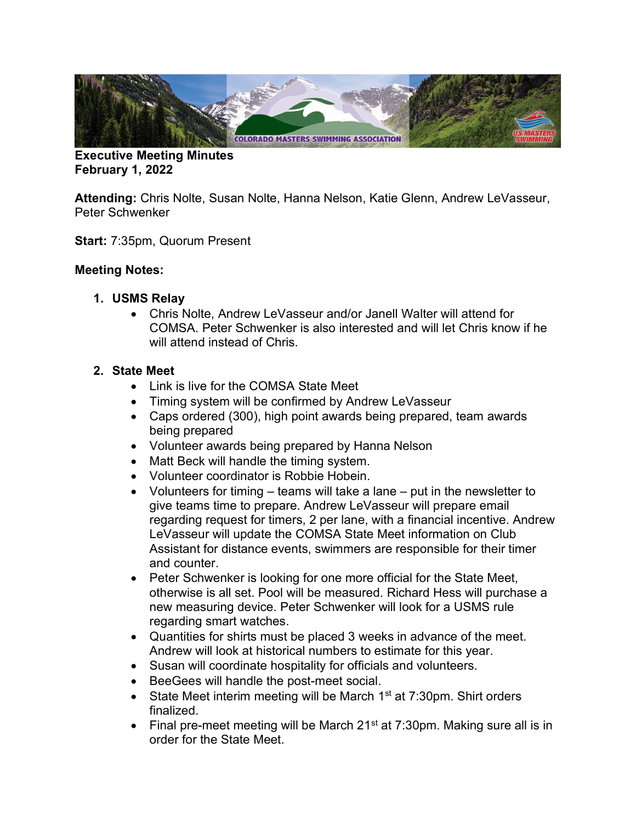

Executive Meeting Minutes February 1, 2022

Attending: Chris Nolte, Susan Nolte, Hanna Nelson, Katie Glenn, Andrew LeVasseur, Peter Schwenker

Start: 7:35pm, Quorum Present

## Meeting Notes:

- 1. USMS Relay
	- Chris Nolte, Andrew LeVasseur and/or Janell Walter will attend for COMSA. Peter Schwenker is also interested and will let Chris know if he will attend instead of Chris.

## 2. State Meet

- Link is live for the COMSA State Meet
- Timing system will be confirmed by Andrew LeVasseur
- Caps ordered (300), high point awards being prepared, team awards being prepared
- Volunteer awards being prepared by Hanna Nelson
- Matt Beck will handle the timing system.
- Volunteer coordinator is Robbie Hobein.
- Volunteers for timing teams will take a lane put in the newsletter to give teams time to prepare. Andrew LeVasseur will prepare email regarding request for timers, 2 per lane, with a financial incentive. Andrew LeVasseur will update the COMSA State Meet information on Club Assistant for distance events, swimmers are responsible for their timer and counter.
- Peter Schwenker is looking for one more official for the State Meet, otherwise is all set. Pool will be measured. Richard Hess will purchase a new measuring device. Peter Schwenker will look for a USMS rule regarding smart watches.
- Quantities for shirts must be placed 3 weeks in advance of the meet. Andrew will look at historical numbers to estimate for this year.
- Susan will coordinate hospitality for officials and volunteers.
- BeeGees will handle the post-meet social.
- State Meet interim meeting will be March  $1<sup>st</sup>$  at 7:30pm. Shirt orders finalized.
- Final pre-meet meeting will be March  $21^{st}$  at 7:30pm. Making sure all is in order for the State Meet.